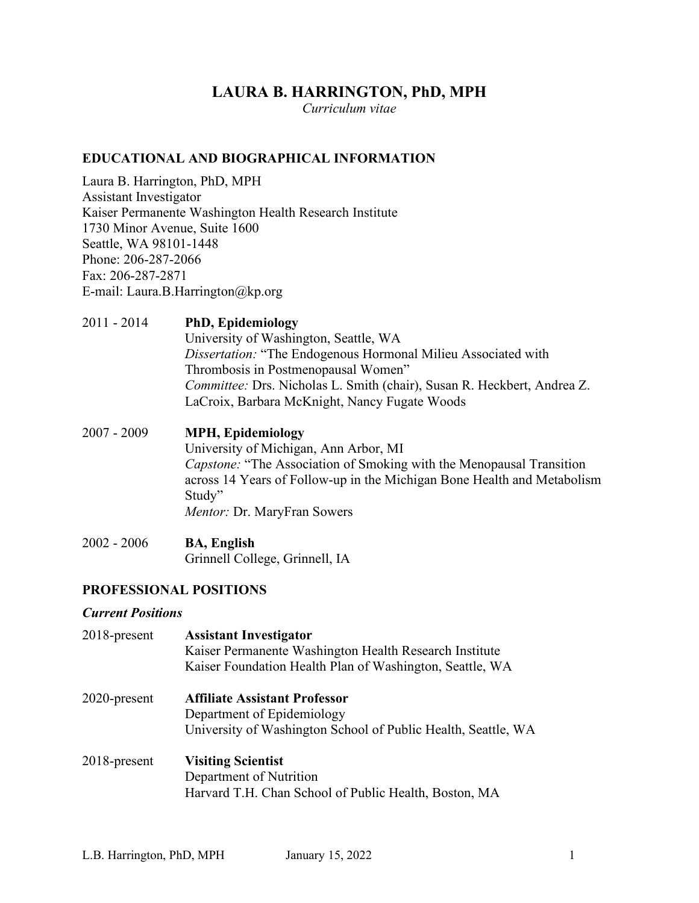# **LAURA B. HARRINGTON, PhD, MPH**

*Curriculum vitae*

## **EDUCATIONAL AND BIOGRAPHICAL INFORMATION**

Laura B. Harrington, PhD, MPH Assistant Investigator Kaiser Permanente Washington Health Research Institute 1730 Minor Avenue, Suite 1600 Seattle, WA 98101-1448 Phone: 206-287-2066 Fax: 206-287-2871 E-mail: Laura.B.Harrington@kp.org

## 2011 - 2014 **PhD, Epidemiology**

University of Washington, Seattle, WA *Dissertation:* "The Endogenous Hormonal Milieu Associated with Thrombosis in Postmenopausal Women" *Committee:* Drs. Nicholas L. Smith (chair), Susan R. Heckbert, Andrea Z. LaCroix, Barbara McKnight, Nancy Fugate Woods

- 2007 2009 **MPH, Epidemiology** University of Michigan, Ann Arbor, MI *Capstone:* "The Association of Smoking with the Menopausal Transition across 14 Years of Follow-up in the Michigan Bone Health and Metabolism Study" *Mentor:* Dr. MaryFran Sowers
- 2002 2006 **BA, English** Grinnell College, Grinnell, IA

## **PROFESSIONAL POSITIONS**

#### *Current Positions*

| 2018-present | <b>Assistant Investigator</b><br>Kaiser Permanente Washington Health Research Institute<br>Kaiser Foundation Health Plan of Washington, Seattle, WA |
|--------------|-----------------------------------------------------------------------------------------------------------------------------------------------------|
| 2020-present | <b>Affiliate Assistant Professor</b><br>Department of Epidemiology<br>University of Washington School of Public Health, Seattle, WA                 |
| 2018-present | <b>Visiting Scientist</b><br>Department of Nutrition<br>Harvard T.H. Chan School of Public Health, Boston, MA                                       |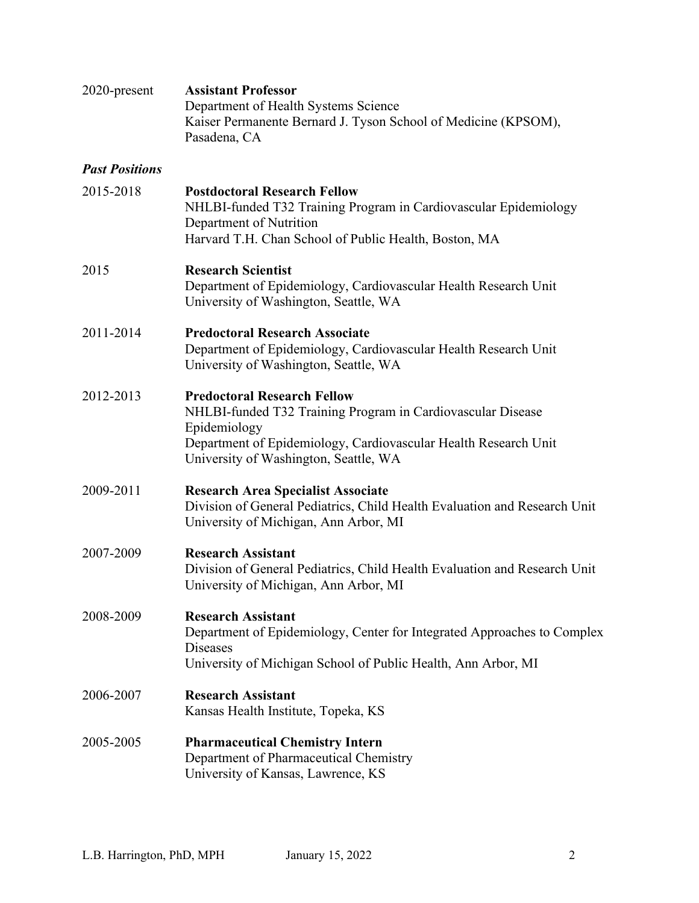| 2020-present          | <b>Assistant Professor</b><br>Department of Health Systems Science<br>Kaiser Permanente Bernard J. Tyson School of Medicine (KPSOM),<br>Pasadena, CA                                                                          |
|-----------------------|-------------------------------------------------------------------------------------------------------------------------------------------------------------------------------------------------------------------------------|
| <b>Past Positions</b> |                                                                                                                                                                                                                               |
| 2015-2018             | <b>Postdoctoral Research Fellow</b><br>NHLBI-funded T32 Training Program in Cardiovascular Epidemiology<br>Department of Nutrition<br>Harvard T.H. Chan School of Public Health, Boston, MA                                   |
| 2015                  | <b>Research Scientist</b><br>Department of Epidemiology, Cardiovascular Health Research Unit<br>University of Washington, Seattle, WA                                                                                         |
| 2011-2014             | <b>Predoctoral Research Associate</b><br>Department of Epidemiology, Cardiovascular Health Research Unit<br>University of Washington, Seattle, WA                                                                             |
| 2012-2013             | <b>Predoctoral Research Fellow</b><br>NHLBI-funded T32 Training Program in Cardiovascular Disease<br>Epidemiology<br>Department of Epidemiology, Cardiovascular Health Research Unit<br>University of Washington, Seattle, WA |
| 2009-2011             | <b>Research Area Specialist Associate</b><br>Division of General Pediatrics, Child Health Evaluation and Research Unit<br>University of Michigan, Ann Arbor, MI                                                               |
| 2007-2009             | <b>Research Assistant</b><br>Division of General Pediatrics, Child Health Evaluation and Research Unit<br>University of Michigan, Ann Arbor, MI                                                                               |
| 2008-2009             | <b>Research Assistant</b><br>Department of Epidemiology, Center for Integrated Approaches to Complex<br><b>Diseases</b><br>University of Michigan School of Public Health, Ann Arbor, MI                                      |
| 2006-2007             | <b>Research Assistant</b><br>Kansas Health Institute, Topeka, KS                                                                                                                                                              |
| 2005-2005             | <b>Pharmaceutical Chemistry Intern</b><br>Department of Pharmaceutical Chemistry<br>University of Kansas, Lawrence, KS                                                                                                        |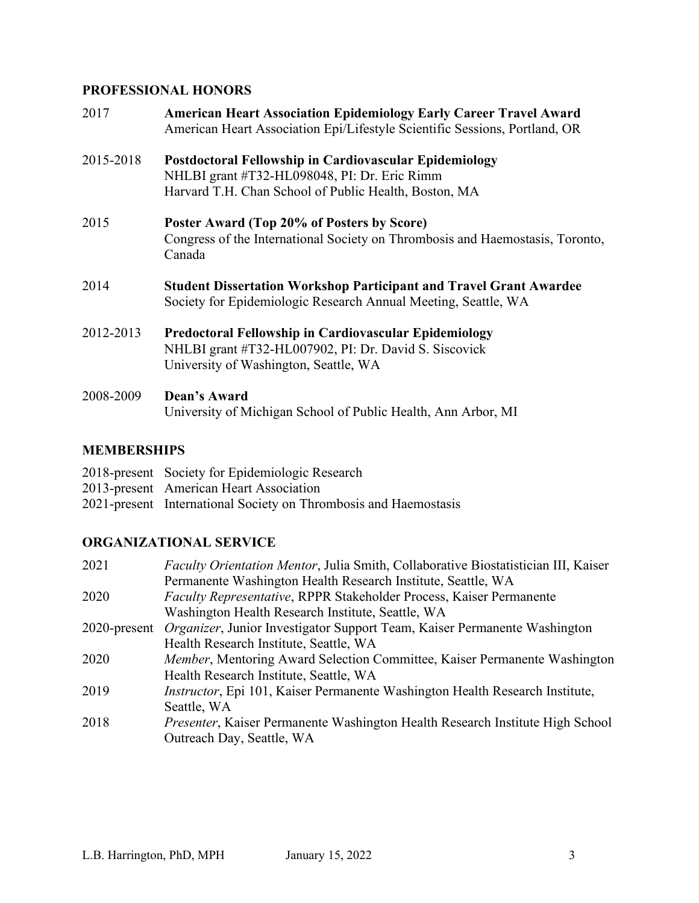# **PROFESSIONAL HONORS**

| 2017      | <b>American Heart Association Epidemiology Early Career Travel Award</b><br>American Heart Association Epi/Lifestyle Scientific Sessions, Portland, OR          |
|-----------|-----------------------------------------------------------------------------------------------------------------------------------------------------------------|
| 2015-2018 | Postdoctoral Fellowship in Cardiovascular Epidemiology<br>NHLBI grant #T32-HL098048, PI: Dr. Eric Rimm<br>Harvard T.H. Chan School of Public Health, Boston, MA |
| 2015      | Poster Award (Top 20% of Posters by Score)<br>Congress of the International Society on Thrombosis and Haemostasis, Toronto,<br>Canada                           |
| 2014      | <b>Student Dissertation Workshop Participant and Travel Grant Awardee</b><br>Society for Epidemiologic Research Annual Meeting, Seattle, WA                     |
| 2012-2013 | Predoctoral Fellowship in Cardiovascular Epidemiology<br>NHLBI grant #T32-HL007902, PI: Dr. David S. Siscovick<br>University of Washington, Seattle, WA         |
| 2008-2009 | Dean's Award<br>University of Michigan School of Public Health, Ann Arbor, MI                                                                                   |

# **MEMBERSHIPS**

| 2018-present Society for Epidemiologic Research                  |
|------------------------------------------------------------------|
| 2013-present American Heart Association                          |
| 2021-present International Society on Thrombosis and Haemostasis |

# **ORGANIZATIONAL SERVICE**

| 2021 | Faculty Orientation Mentor, Julia Smith, Collaborative Biostatistician III, Kaiser     |
|------|----------------------------------------------------------------------------------------|
|      | Permanente Washington Health Research Institute, Seattle, WA                           |
| 2020 | Faculty Representative, RPPR Stakeholder Process, Kaiser Permanente                    |
|      | Washington Health Research Institute, Seattle, WA                                      |
|      | 2020-present Organizer, Junior Investigator Support Team, Kaiser Permanente Washington |
|      | Health Research Institute, Seattle, WA                                                 |
| 2020 | Member, Mentoring Award Selection Committee, Kaiser Permanente Washington              |
|      | Health Research Institute, Seattle, WA                                                 |
| 2019 | Instructor, Epi 101, Kaiser Permanente Washington Health Research Institute,           |
|      | Seattle, WA                                                                            |
| 2018 | <i>Presenter</i> , Kaiser Permanente Washington Health Research Institute High School  |
|      | Outreach Day, Seattle, WA                                                              |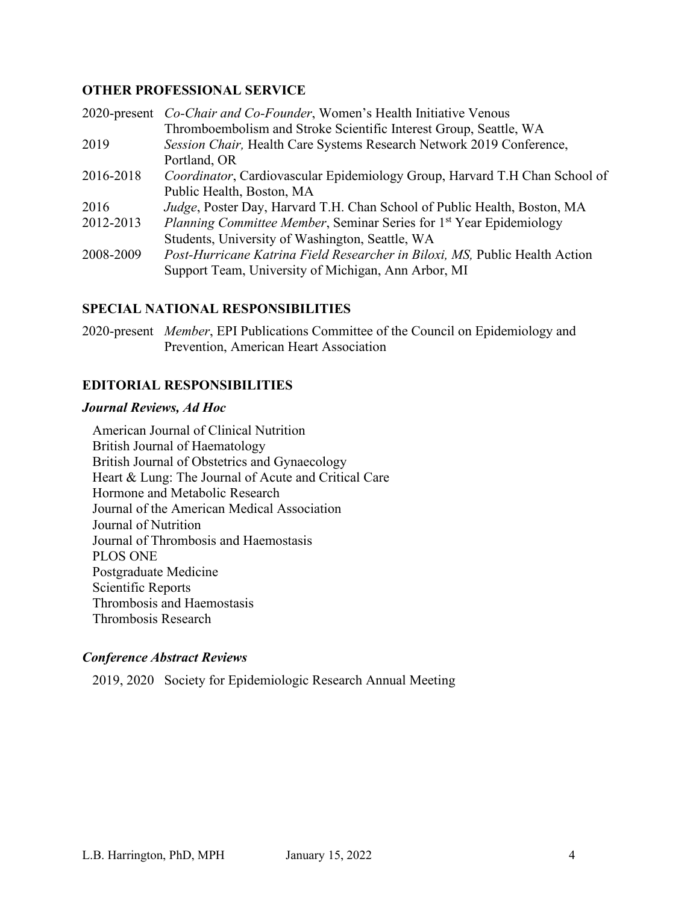## **OTHER PROFESSIONAL SERVICE**

|           | 2020-present <i>Co-Chair and Co-Founder</i> , Women's Health Initiative Venous  |
|-----------|---------------------------------------------------------------------------------|
|           | Thromboembolism and Stroke Scientific Interest Group, Seattle, WA               |
| 2019      | Session Chair, Health Care Systems Research Network 2019 Conference,            |
|           | Portland, OR                                                                    |
| 2016-2018 | Coordinator, Cardiovascular Epidemiology Group, Harvard T.H Chan School of      |
|           | Public Health, Boston, MA                                                       |
| 2016      | Judge, Poster Day, Harvard T.H. Chan School of Public Health, Boston, MA        |
| 2012-2013 | Planning Committee Member, Seminar Series for 1 <sup>st</sup> Year Epidemiology |
|           | Students, University of Washington, Seattle, WA                                 |
| 2008-2009 | Post-Hurricane Katrina Field Researcher in Biloxi, MS, Public Health Action     |
|           | Support Team, University of Michigan, Ann Arbor, MI                             |

## **SPECIAL NATIONAL RESPONSIBILITIES**

2020-present *Member*, EPI Publications Committee of the Council on Epidemiology and Prevention, American Heart Association

## **EDITORIAL RESPONSIBILITIES**

#### *Journal Reviews, Ad Hoc*

American Journal of Clinical Nutrition British Journal of Haematology British Journal of Obstetrics and Gynaecology Heart & Lung: The Journal of Acute and Critical Care Hormone and Metabolic Research Journal of the American Medical Association Journal of Nutrition Journal of Thrombosis and Haemostasis PLOS ONE Postgraduate Medicine Scientific Reports Thrombosis and Haemostasis Thrombosis Research

## *Conference Abstract Reviews*

2019, 2020 Society for Epidemiologic Research Annual Meeting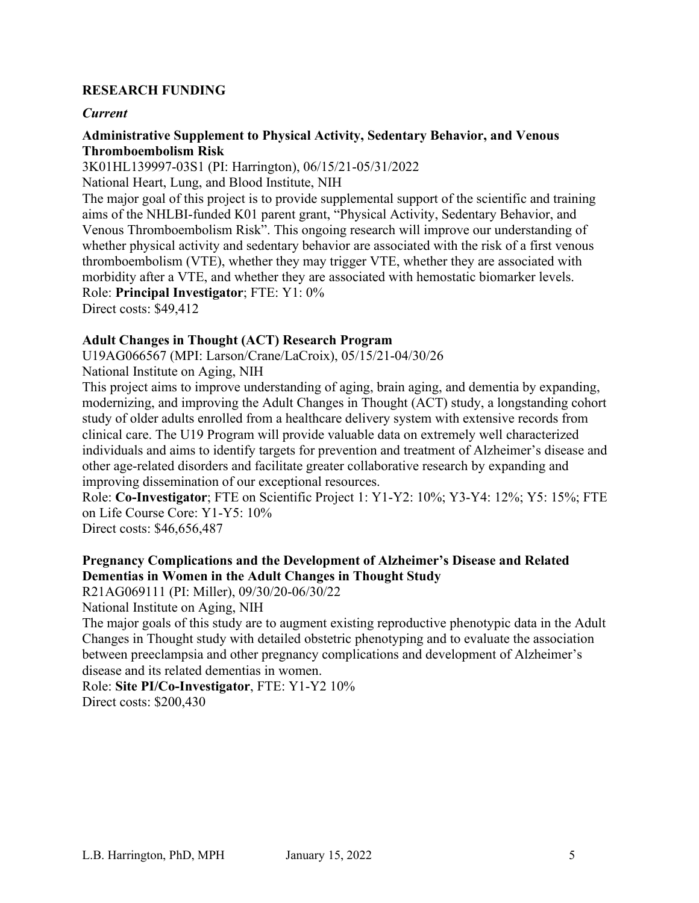## **RESEARCH FUNDING**

## *Current*

#### **Administrative Supplement to Physical Activity, Sedentary Behavior, and Venous Thromboembolism Risk**

3K01HL139997-03S1 (PI: Harrington), 06/15/21-05/31/2022

National Heart, Lung, and Blood Institute, NIH

The major goal of this project is to provide supplemental support of the scientific and training aims of the NHLBI-funded K01 parent grant, "Physical Activity, Sedentary Behavior, and Venous Thromboembolism Risk". This ongoing research will improve our understanding of whether physical activity and sedentary behavior are associated with the risk of a first venous thromboembolism (VTE), whether they may trigger VTE, whether they are associated with morbidity after a VTE, and whether they are associated with hemostatic biomarker levels. Role: **Principal Investigator**; FTE: Y1: 0% Direct costs: \$49,412

## **Adult Changes in Thought (ACT) Research Program**

U19AG066567 (MPI: Larson/Crane/LaCroix), 05/15/21-04/30/26

National Institute on Aging, NIH

This project aims to improve understanding of aging, brain aging, and dementia by expanding, modernizing, and improving the Adult Changes in Thought (ACT) study, a longstanding cohort study of older adults enrolled from a healthcare delivery system with extensive records from clinical care. The U19 Program will provide valuable data on extremely well characterized individuals and aims to identify targets for prevention and treatment of Alzheimer's disease and other age-related disorders and facilitate greater collaborative research by expanding and improving dissemination of our exceptional resources.

Role: **Co-Investigator**; FTE on Scientific Project 1: Y1-Y2: 10%; Y3-Y4: 12%; Y5: 15%; FTE on Life Course Core: Y1-Y5: 10%

Direct costs: \$46,656,487

## **Pregnancy Complications and the Development of Alzheimer's Disease and Related Dementias in Women in the Adult Changes in Thought Study**

R21AG069111 (PI: Miller), 09/30/20-06/30/22

National Institute on Aging, NIH

The major goals of this study are to augment existing reproductive phenotypic data in the Adult Changes in Thought study with detailed obstetric phenotyping and to evaluate the association between preeclampsia and other pregnancy complications and development of Alzheimer's disease and its related dementias in women.

Role: **Site PI/Co-Investigator**, FTE: Y1-Y2 10%

Direct costs: \$200,430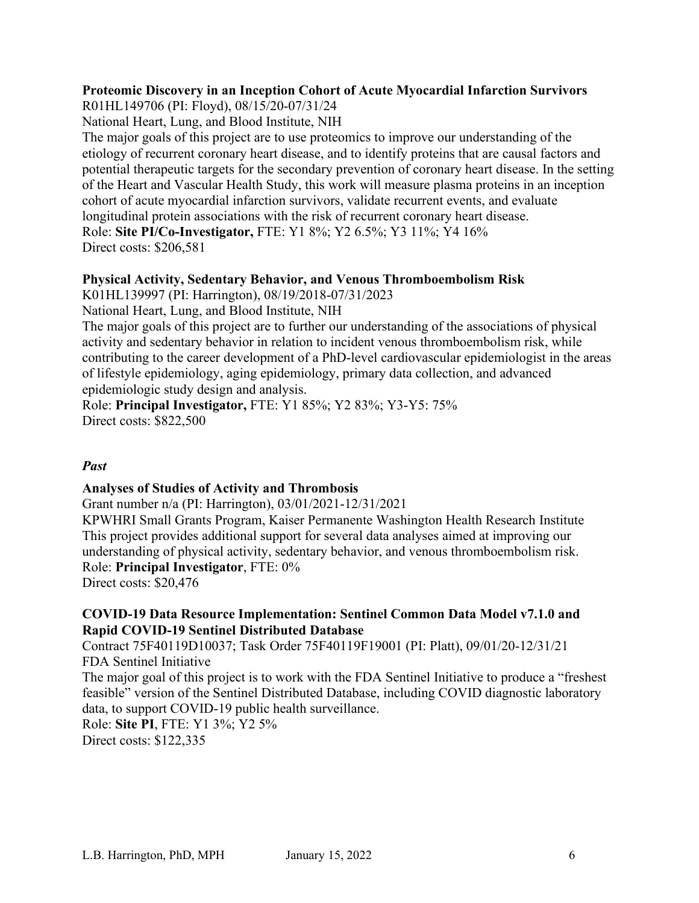## **Proteomic Discovery in an Inception Cohort of Acute Myocardial Infarction Survivors**

R01HL149706 (PI: Floyd), 08/15/20-07/31/24

National Heart, Lung, and Blood Institute, NIH

The major goals of this project are to use proteomics to improve our understanding of the etiology of recurrent coronary heart disease, and to identify proteins that are causal factors and potential therapeutic targets for the secondary prevention of coronary heart disease. In the setting of the Heart and Vascular Health Study, this work will measure plasma proteins in an inception cohort of acute myocardial infarction survivors, validate recurrent events, and evaluate longitudinal protein associations with the risk of recurrent coronary heart disease. Role: **Site PI/Co-Investigator,** FTE: Y1 8%; Y2 6.5%; Y3 11%; Y4 16% Direct costs: \$206,581

## **Physical Activity, Sedentary Behavior, and Venous Thromboembolism Risk**

K01HL139997 (PI: Harrington), 08/19/2018-07/31/2023

National Heart, Lung, and Blood Institute, NIH

The major goals of this project are to further our understanding of the associations of physical activity and sedentary behavior in relation to incident venous thromboembolism risk, while contributing to the career development of a PhD-level cardiovascular epidemiologist in the areas of lifestyle epidemiology, aging epidemiology, primary data collection, and advanced epidemiologic study design and analysis.

Role: **Principal Investigator,** FTE: Y1 85%; Y2 83%; Y3-Y5: 75% Direct costs: \$822,500

## *Past*

## **Analyses of Studies of Activity and Thrombosis**

Grant number n/a (PI: Harrington), 03/01/2021-12/31/2021

KPWHRI Small Grants Program, Kaiser Permanente Washington Health Research Institute This project provides additional support for several data analyses aimed at improving our understanding of physical activity, sedentary behavior, and venous thromboembolism risk. Role: **Principal Investigator**, FTE: 0%

Direct costs: \$20,476

## **COVID-19 Data Resource Implementation: Sentinel Common Data Model v7.1.0 and Rapid COVID-19 Sentinel Distributed Database**

Contract 75F40119D10037; Task Order 75F40119F19001 (PI: Platt), 09/01/20-12/31/21 FDA Sentinel Initiative

The major goal of this project is to work with the FDA Sentinel Initiative to produce a "freshest feasible" version of the Sentinel Distributed Database, including COVID diagnostic laboratory data, to support COVID-19 public health surveillance.

Role: **Site PI**, FTE: Y1 3%; Y2 5%

Direct costs: \$122,335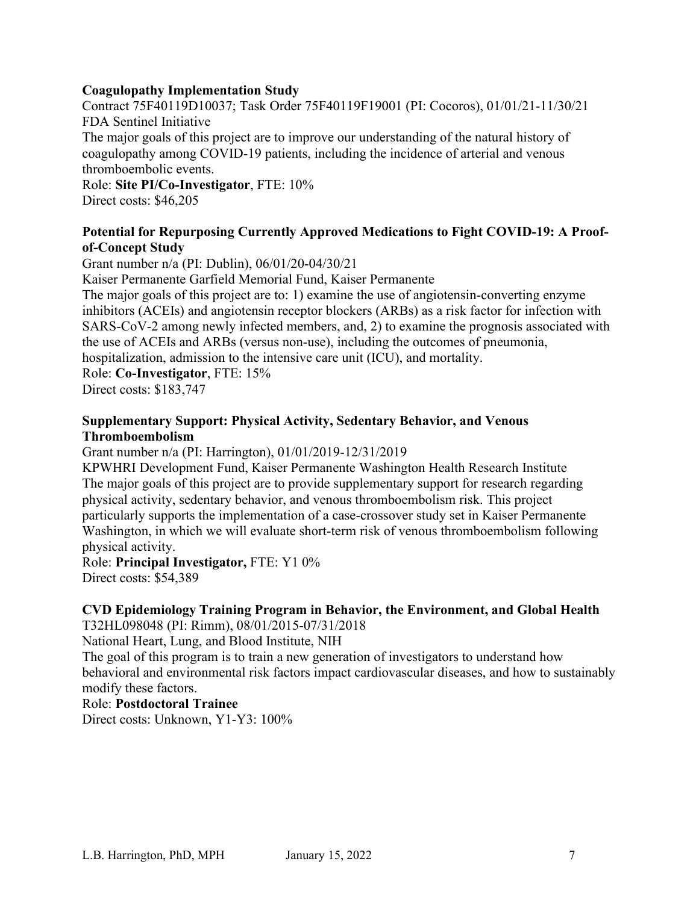## **Coagulopathy Implementation Study**

Contract 75F40119D10037; Task Order 75F40119F19001 (PI: Cocoros), 01/01/21-11/30/21 FDA Sentinel Initiative

The major goals of this project are to improve our understanding of the natural history of coagulopathy among COVID-19 patients, including the incidence of arterial and venous thromboembolic events.

Role: **Site PI/Co-Investigator**, FTE: 10% Direct costs: \$46,205

## **Potential for Repurposing Currently Approved Medications to Fight COVID-19: A Proofof-Concept Study**

Grant number n/a (PI: Dublin), 06/01/20-04/30/21

Kaiser Permanente Garfield Memorial Fund, Kaiser Permanente

The major goals of this project are to: 1) examine the use of angiotensin-converting enzyme inhibitors (ACEIs) and angiotensin receptor blockers (ARBs) as a risk factor for infection with SARS-CoV-2 among newly infected members, and, 2) to examine the prognosis associated with the use of ACEIs and ARBs (versus non-use), including the outcomes of pneumonia,

hospitalization, admission to the intensive care unit (ICU), and mortality.

Role: **Co-Investigator**, FTE: 15%

Direct costs: \$183,747

## **Supplementary Support: Physical Activity, Sedentary Behavior, and Venous Thromboembolism**

Grant number n/a (PI: Harrington), 01/01/2019-12/31/2019

KPWHRI Development Fund, Kaiser Permanente Washington Health Research Institute The major goals of this project are to provide supplementary support for research regarding physical activity, sedentary behavior, and venous thromboembolism risk. This project particularly supports the implementation of a case-crossover study set in Kaiser Permanente Washington, in which we will evaluate short-term risk of venous thromboembolism following physical activity.

Role: **Principal Investigator,** FTE: Y1 0% Direct costs: \$54,389

# **CVD Epidemiology Training Program in Behavior, the Environment, and Global Health**

T32HL098048 (PI: Rimm), 08/01/2015-07/31/2018

National Heart, Lung, and Blood Institute, NIH

The goal of this program is to train a new generation of investigators to understand how behavioral and environmental risk factors impact cardiovascular diseases, and how to sustainably modify these factors.

## Role: **Postdoctoral Trainee**

Direct costs: Unknown, Y1-Y3: 100%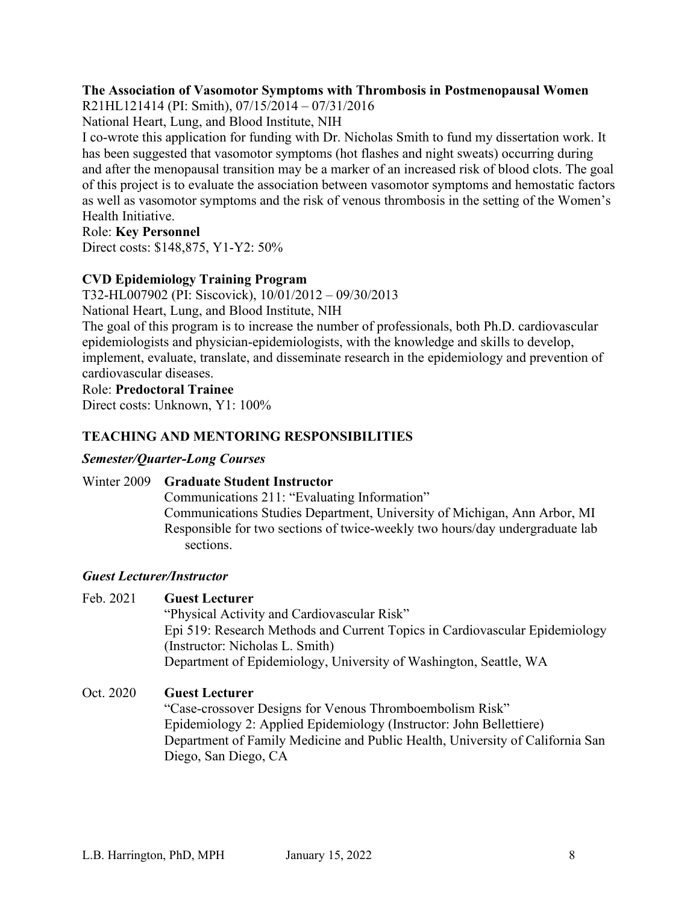## **The Association of Vasomotor Symptoms with Thrombosis in Postmenopausal Women**

R21HL121414 (PI: Smith), 07/15/2014 – 07/31/2016

National Heart, Lung, and Blood Institute, NIH

I co-wrote this application for funding with Dr. Nicholas Smith to fund my dissertation work. It has been suggested that vasomotor symptoms (hot flashes and night sweats) occurring during and after the menopausal transition may be a marker of an increased risk of blood clots. The goal of this project is to evaluate the association between vasomotor symptoms and hemostatic factors as well as vasomotor symptoms and the risk of venous thrombosis in the setting of the Women's Health Initiative.

## Role: **Key Personnel**

Direct costs: \$148,875, Y1-Y2: 50%

## **CVD Epidemiology Training Program**

T32-HL007902 (PI: Siscovick), 10/01/2012 – 09/30/2013

National Heart, Lung, and Blood Institute, NIH

The goal of this program is to increase the number of professionals, both Ph.D. cardiovascular epidemiologists and physician-epidemiologists, with the knowledge and skills to develop, implement, evaluate, translate, and disseminate research in the epidemiology and prevention of cardiovascular diseases.

#### Role: **Predoctoral Trainee**

Direct costs: Unknown, Y1: 100%

## **TEACHING AND MENTORING RESPONSIBILITIES**

## *Semester/Quarter-Long Courses*

## Winter 2009 **Graduate Student Instructor**

Communications 211: "Evaluating Information" Communications Studies Department, University of Michigan, Ann Arbor, MI Responsible for two sections of twice-weekly two hours/day undergraduate lab sections.

## *Guest Lecturer/Instructor*

## Feb. 2021 **Guest Lecturer**

"Physical Activity and Cardiovascular Risk" Epi 519: Research Methods and Current Topics in Cardiovascular Epidemiology (Instructor: Nicholas L. Smith) Department of Epidemiology, University of Washington, Seattle, WA

## Oct. 2020 **Guest Lecturer**

"Case-crossover Designs for Venous Thromboembolism Risk" Epidemiology 2: Applied Epidemiology (Instructor: John Bellettiere) Department of Family Medicine and Public Health, University of California San Diego, San Diego, CA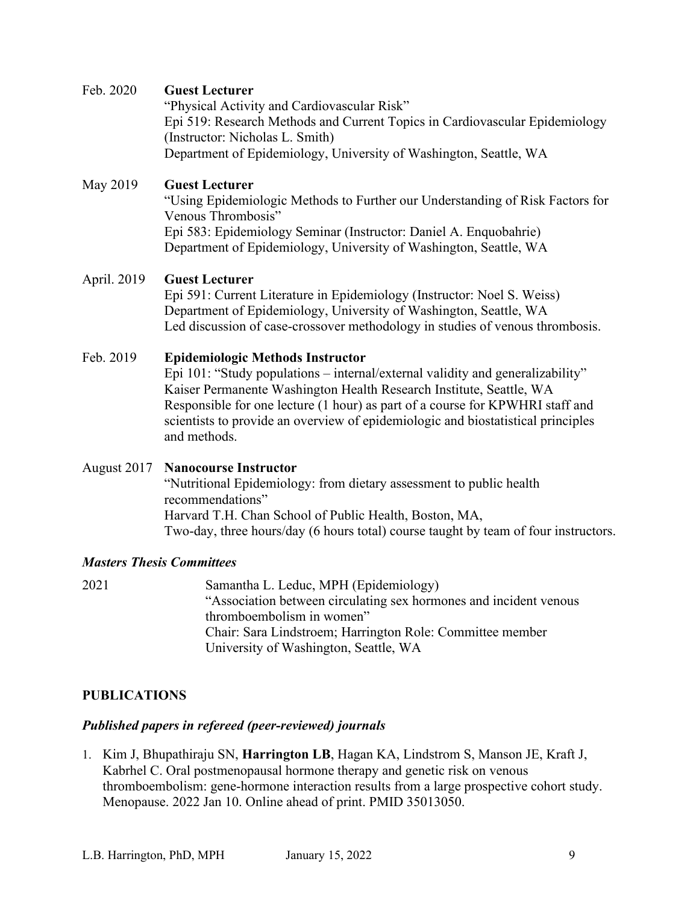## Feb. 2020 **Guest Lecturer**

"Physical Activity and Cardiovascular Risk" Epi 519: Research Methods and Current Topics in Cardiovascular Epidemiology (Instructor: Nicholas L. Smith) Department of Epidemiology, University of Washington, Seattle, WA

## May 2019 **Guest Lecturer**

"Using Epidemiologic Methods to Further our Understanding of Risk Factors for Venous Thrombosis" Epi 583: Epidemiology Seminar (Instructor: Daniel A. Enquobahrie) Department of Epidemiology, University of Washington, Seattle, WA

## April. 2019 **Guest Lecturer**

Epi 591: Current Literature in Epidemiology (Instructor: Noel S. Weiss) Department of Epidemiology, University of Washington, Seattle, WA Led discussion of case-crossover methodology in studies of venous thrombosis.

## Feb. 2019 **Epidemiologic Methods Instructor**

Epi 101: "Study populations – internal/external validity and generalizability" Kaiser Permanente Washington Health Research Institute, Seattle, WA Responsible for one lecture (1 hour) as part of a course for KPWHRI staff and scientists to provide an overview of epidemiologic and biostatistical principles and methods.

## August 2017 **Nanocourse Instructor**  "Nutritional Epidemiology: from dietary assessment to public health recommendations" Harvard T.H. Chan School of Public Health, Boston, MA, Two-day, three hours/day (6 hours total) course taught by team of four instructors.

## *Masters Thesis Committees*

2021 Samantha L. Leduc, MPH (Epidemiology) "Association between circulating sex hormones and incident venous thromboembolism in women" Chair: Sara Lindstroem; Harrington Role: Committee member University of Washington, Seattle, WA

## **PUBLICATIONS**

## *Published papers in refereed (peer-reviewed) journals*

1. Kim J, Bhupathiraju SN, **Harrington LB**, Hagan KA, Lindstrom S, Manson JE, Kraft J, Kabrhel C. Oral postmenopausal hormone therapy and genetic risk on venous thromboembolism: gene-hormone interaction results from a large prospective cohort study. Menopause. 2022 Jan 10. Online ahead of print. PMID 35013050.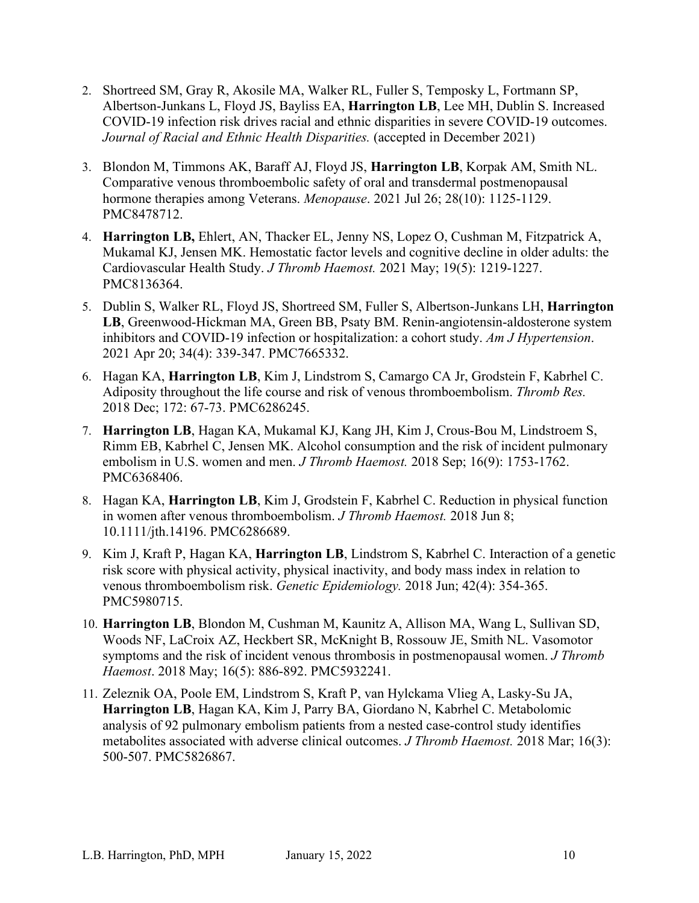- 2. Shortreed SM, Gray R, Akosile MA, Walker RL, Fuller S, Temposky L, Fortmann SP, Albertson-Junkans L, Floyd JS, Bayliss EA, **Harrington LB**, Lee MH, Dublin S. Increased COVID-19 infection risk drives racial and ethnic disparities in severe COVID-19 outcomes. *Journal of Racial and Ethnic Health Disparities.* (accepted in December 2021)
- 3. Blondon M, Timmons AK, Baraff AJ, Floyd JS, **Harrington LB**, Korpak AM, Smith NL. Comparative venous thromboembolic safety of oral and transdermal postmenopausal hormone therapies among Veterans. *Menopause*. 2021 Jul 26; 28(10): 1125-1129. PMC8478712.
- 4. **Harrington LB,** Ehlert, AN, Thacker EL, Jenny NS, Lopez O, Cushman M, Fitzpatrick A, Mukamal KJ, Jensen MK. Hemostatic factor levels and cognitive decline in older adults: the Cardiovascular Health Study. *J Thromb Haemost.* 2021 May; 19(5): 1219-1227. PMC8136364.
- 5. Dublin S, Walker RL, Floyd JS, Shortreed SM, Fuller S, Albertson-Junkans LH, **Harrington LB**, Greenwood-Hickman MA, Green BB, Psaty BM. Renin-angiotensin-aldosterone system inhibitors and COVID-19 infection or hospitalization: a cohort study. *Am J Hypertension*. 2021 Apr 20; 34(4): 339-347. PMC7665332.
- 6. Hagan KA, **Harrington LB**, Kim J, Lindstrom S, Camargo CA Jr, Grodstein F, Kabrhel C. Adiposity throughout the life course and risk of venous thromboembolism. *Thromb Res.* 2018 Dec; 172: 67-73. PMC6286245.
- 7. **Harrington LB**, Hagan KA, Mukamal KJ, Kang JH, Kim J, Crous-Bou M, Lindstroem S, Rimm EB, Kabrhel C, Jensen MK. Alcohol consumption and the risk of incident pulmonary embolism in U.S. women and men. *J Thromb Haemost.* 2018 Sep; 16(9): 1753-1762. PMC6368406.
- 8. Hagan KA, **Harrington LB**, Kim J, Grodstein F, Kabrhel C. Reduction in physical function in women after venous thromboembolism. *J Thromb Haemost.* 2018 Jun 8; 10.1111/jth.14196. PMC6286689.
- 9. Kim J, Kraft P, Hagan KA, **Harrington LB**, Lindstrom S, Kabrhel C. Interaction of a genetic risk score with physical activity, physical inactivity, and body mass index in relation to venous thromboembolism risk. *Genetic Epidemiology.* 2018 Jun; 42(4): 354-365. PMC5980715.
- 10. **Harrington LB**, Blondon M, Cushman M, Kaunitz A, Allison MA, Wang L, Sullivan SD, Woods NF, LaCroix AZ, Heckbert SR, McKnight B, Rossouw JE, Smith NL. Vasomotor symptoms and the risk of incident venous thrombosis in postmenopausal women. *J Thromb Haemost*. 2018 May; 16(5): 886-892. PMC5932241.
- 11. Zeleznik OA, Poole EM, Lindstrom S, Kraft P, van Hylckama Vlieg A, Lasky-Su JA, **Harrington LB**, Hagan KA, Kim J, Parry BA, Giordano N, Kabrhel C. Metabolomic analysis of 92 pulmonary embolism patients from a nested case-control study identifies metabolites associated with adverse clinical outcomes. *J Thromb Haemost.* 2018 Mar; 16(3): 500-507. PMC5826867.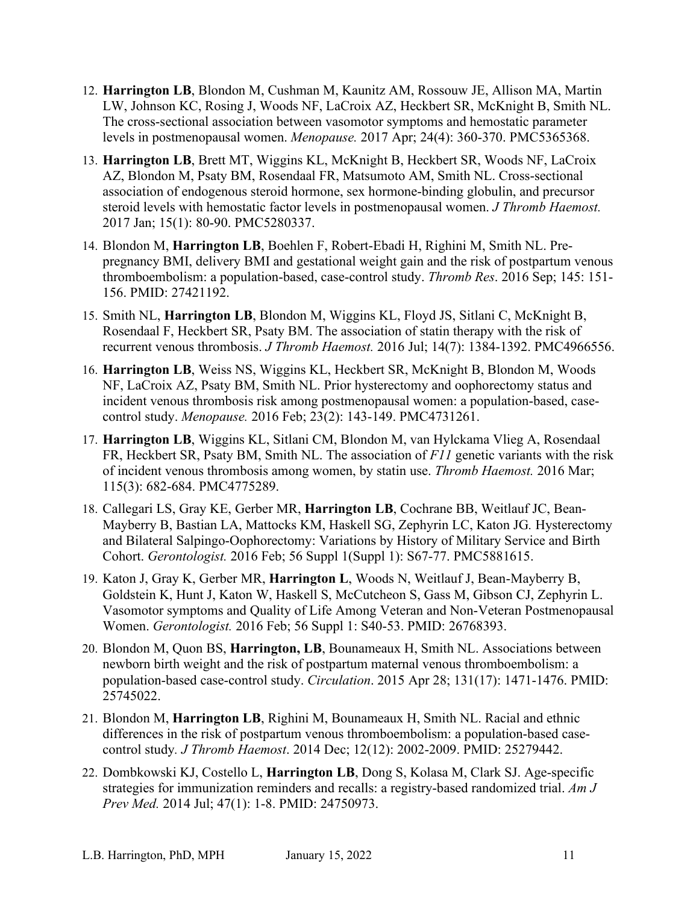- 12. **Harrington LB**, Blondon M, Cushman M, Kaunitz AM, Rossouw JE, Allison MA, Martin LW, Johnson KC, Rosing J, Woods NF, LaCroix AZ, Heckbert SR, McKnight B, Smith NL. The cross-sectional association between vasomotor symptoms and hemostatic parameter levels in postmenopausal women. *Menopause.* 2017 Apr; 24(4): 360-370. PMC5365368.
- 13. **Harrington LB**, Brett MT, Wiggins KL, McKnight B, Heckbert SR, Woods NF, LaCroix AZ, Blondon M, Psaty BM, Rosendaal FR, Matsumoto AM, Smith NL. Cross-sectional association of endogenous steroid hormone, sex hormone-binding globulin, and precursor steroid levels with hemostatic factor levels in postmenopausal women. *J Thromb Haemost.* 2017 Jan; 15(1): 80-90. PMC5280337.
- 14. Blondon M, **Harrington LB**, Boehlen F, Robert-Ebadi H, Righini M, Smith NL. Prepregnancy BMI, delivery BMI and gestational weight gain and the risk of postpartum venous thromboembolism: a population-based, case-control study. *Thromb Res*. 2016 Sep; 145: 151- 156. PMID: 27421192.
- 15. Smith NL, **Harrington LB**, Blondon M, Wiggins KL, Floyd JS, Sitlani C, McKnight B, Rosendaal F, Heckbert SR, Psaty BM. The association of statin therapy with the risk of recurrent venous thrombosis. *J Thromb Haemost.* 2016 Jul; 14(7): 1384-1392. PMC4966556.
- 16. **Harrington LB**, Weiss NS, Wiggins KL, Heckbert SR, McKnight B, Blondon M, Woods NF, LaCroix AZ, Psaty BM, Smith NL. Prior hysterectomy and oophorectomy status and incident venous thrombosis risk among postmenopausal women: a population-based, casecontrol study. *Menopause.* 2016 Feb; 23(2): 143-149. PMC4731261.
- 17. **Harrington LB**, Wiggins KL, Sitlani CM, Blondon M, van Hylckama Vlieg A, Rosendaal FR, Heckbert SR, Psaty BM, Smith NL. The association of *F11* genetic variants with the risk of incident venous thrombosis among women, by statin use. *Thromb Haemost.* 2016 Mar; 115(3): 682-684. PMC4775289.
- 18. Callegari LS, Gray KE, Gerber MR, **Harrington LB**, Cochrane BB, Weitlauf JC, Bean-Mayberry B, Bastian LA, Mattocks KM, Haskell SG, Zephyrin LC, Katon JG*.* Hysterectomy and Bilateral Salpingo-Oophorectomy: Variations by History of Military Service and Birth Cohort. *Gerontologist.* 2016 Feb; 56 Suppl 1(Suppl 1): S67-77. PMC5881615.
- 19. Katon J, Gray K, Gerber MR, **Harrington L**, Woods N, Weitlauf J, Bean-Mayberry B, Goldstein K, Hunt J, Katon W, Haskell S, McCutcheon S, Gass M, Gibson CJ, Zephyrin L. Vasomotor symptoms and Quality of Life Among Veteran and Non-Veteran Postmenopausal Women. *Gerontologist.* 2016 Feb; 56 Suppl 1: S40-53. PMID: 26768393.
- 20. Blondon M, Quon BS, **Harrington, LB**, Bounameaux H, Smith NL. Associations between newborn birth weight and the risk of postpartum maternal venous thromboembolism: a population-based case-control study. *Circulation*. 2015 Apr 28; 131(17): 1471-1476. PMID: 25745022.
- 21. Blondon M, **Harrington LB**, Righini M, Bounameaux H, Smith NL. Racial and ethnic differences in the risk of postpartum venous thromboembolism: a population-based casecontrol study*. J Thromb Haemost*. 2014 Dec; 12(12): 2002-2009. PMID: 25279442.
- 22. Dombkowski KJ, Costello L, **Harrington LB**, Dong S, Kolasa M, Clark SJ. Age-specific strategies for immunization reminders and recalls: a registry-based randomized trial. *Am J Prev Med.* 2014 Jul; 47(1): 1-8. PMID: 24750973.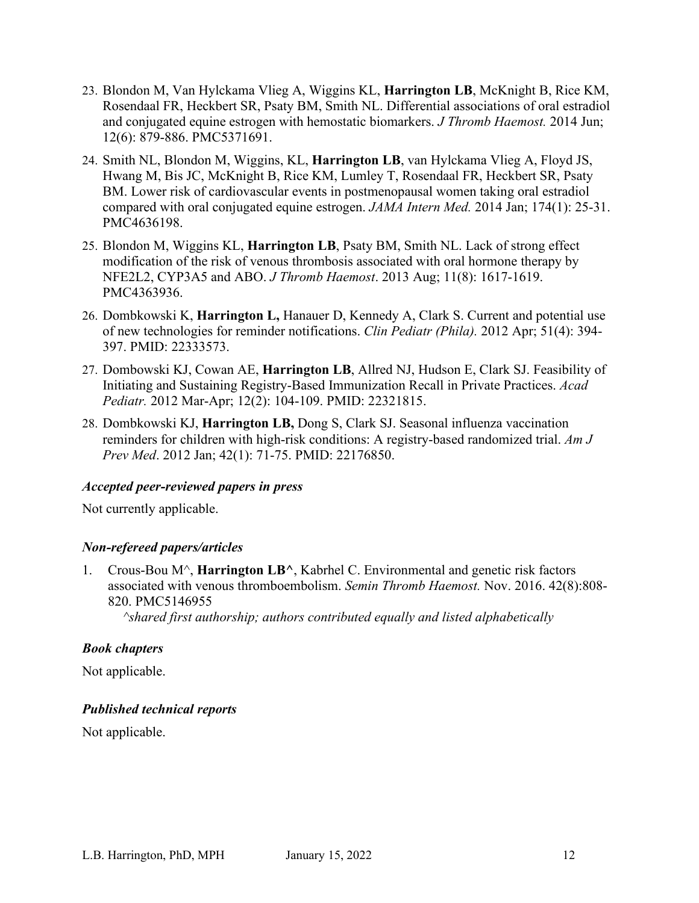- 23. Blondon M, Van Hylckama Vlieg A, Wiggins KL, **Harrington LB**, McKnight B, Rice KM, Rosendaal FR, Heckbert SR, Psaty BM, Smith NL. Differential associations of oral estradiol and conjugated equine estrogen with hemostatic biomarkers. *J Thromb Haemost.* 2014 Jun; 12(6): 879-886. PMC5371691.
- 24. Smith NL, Blondon M, Wiggins, KL, **Harrington LB**, van Hylckama Vlieg A, Floyd JS, Hwang M, Bis JC, McKnight B, Rice KM, Lumley T, Rosendaal FR, Heckbert SR, Psaty BM. Lower risk of cardiovascular events in postmenopausal women taking oral estradiol compared with oral conjugated equine estrogen. *JAMA Intern Med.* 2014 Jan; 174(1): 25-31. PMC4636198.
- 25. Blondon M, Wiggins KL, **Harrington LB**, Psaty BM, Smith NL. Lack of strong effect modification of the risk of venous thrombosis associated with oral hormone therapy by NFE2L2, CYP3A5 and ABO. *J Thromb Haemost*. 2013 Aug; 11(8): 1617-1619. PMC4363936.
- 26. Dombkowski K, **Harrington L,** Hanauer D, Kennedy A, Clark S. Current and potential use of new technologies for reminder notifications. *Clin Pediatr (Phila).* 2012 Apr; 51(4): 394- 397. PMID: 22333573.
- 27. Dombowski KJ, Cowan AE, **Harrington LB**, Allred NJ, Hudson E, Clark SJ. Feasibility of Initiating and Sustaining Registry-Based Immunization Recall in Private Practices. *Acad Pediatr.* 2012 Mar-Apr; 12(2): 104-109. PMID: 22321815.
- 28. Dombkowski KJ, **Harrington LB,** Dong S, Clark SJ. Seasonal influenza vaccination reminders for children with high-risk conditions: A registry-based randomized trial. *Am J Prev Med*. 2012 Jan; 42(1): 71-75. PMID: 22176850.

## *Accepted peer-reviewed papers in press*

Not currently applicable.

## *Non-refereed papers/articles*

1. Crous-Bou M^, **Harrington LB^**, Kabrhel C. Environmental and genetic risk factors associated with venous thromboembolism. *Semin Thromb Haemost.* Nov. 2016. 42(8):808- 820. PMC5146955

*^shared first authorship; authors contributed equally and listed alphabetically*

## *Book chapters*

Not applicable.

## *Published technical reports*

Not applicable.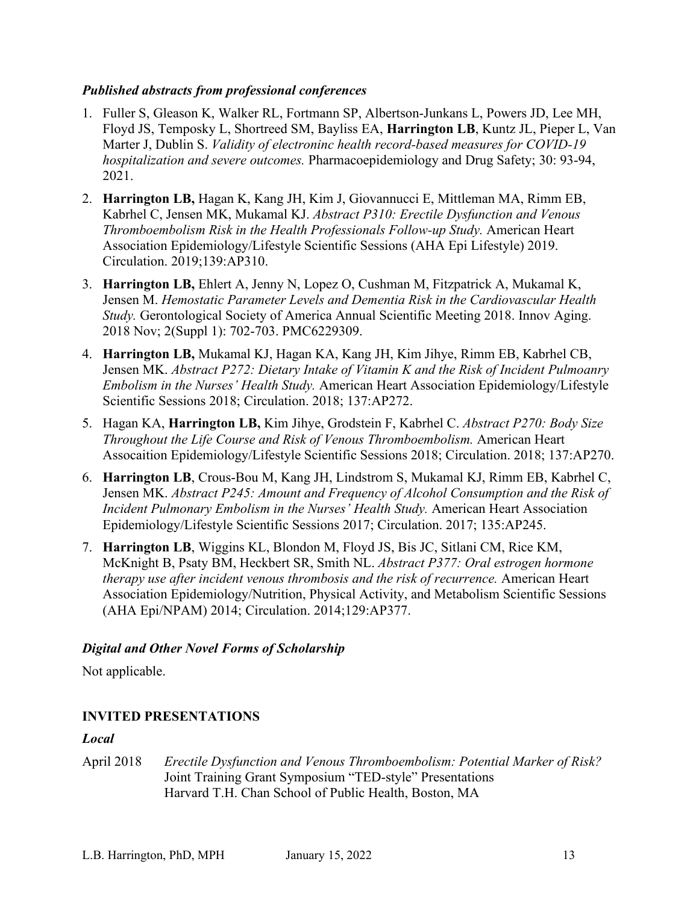## *Published abstracts from professional conferences*

- 1. Fuller S, Gleason K, Walker RL, Fortmann SP, Albertson-Junkans L, Powers JD, Lee MH, Floyd JS, Temposky L, Shortreed SM, Bayliss EA, **Harrington LB**, Kuntz JL, Pieper L, Van Marter J, Dublin S. *Validity of electroninc health record-based measures for COVID-19 hospitalization and severe outcomes.* Pharmacoepidemiology and Drug Safety; 30: 93-94, 2021.
- 2. **Harrington LB,** Hagan K, Kang JH, Kim J, Giovannucci E, Mittleman MA, Rimm EB, Kabrhel C, Jensen MK, Mukamal KJ. *Abstract P310: Erectile Dysfunction and Venous Thromboembolism Risk in the Health Professionals Follow-up Study.* American Heart Association Epidemiology/Lifestyle Scientific Sessions (AHA Epi Lifestyle) 2019. Circulation. 2019;139:AP310.
- 3. **Harrington LB,** Ehlert A, Jenny N, Lopez O, Cushman M, Fitzpatrick A, Mukamal K, Jensen M. *Hemostatic Parameter Levels and Dementia Risk in the Cardiovascular Health Study.* Gerontological Society of America Annual Scientific Meeting 2018. Innov Aging. 2018 Nov; 2(Suppl 1): 702-703. PMC6229309.
- 4. **Harrington LB,** Mukamal KJ, Hagan KA, Kang JH, Kim Jihye, Rimm EB, Kabrhel CB, Jensen MK. *Abstract P272: Dietary Intake of Vitamin K and the Risk of Incident Pulmoanry Embolism in the Nurses' Health Study.* American Heart Association Epidemiology/Lifestyle Scientific Sessions 2018; Circulation. 2018; 137:AP272.
- 5. Hagan KA, **Harrington LB,** Kim Jihye, Grodstein F, Kabrhel C. *Abstract P270: Body Size Throughout the Life Course and Risk of Venous Thromboembolism.* American Heart Assocaition Epidemiology/Lifestyle Scientific Sessions 2018; Circulation. 2018; 137:AP270.
- 6. **Harrington LB**, Crous-Bou M, Kang JH, Lindstrom S, Mukamal KJ, Rimm EB, Kabrhel C, Jensen MK. *Abstract P245: Amount and Frequency of Alcohol Consumption and the Risk of Incident Pulmonary Embolism in the Nurses' Health Study.* American Heart Association Epidemiology/Lifestyle Scientific Sessions 2017; Circulation. 2017; 135:AP245.
- 7. **Harrington LB**, Wiggins KL, Blondon M, Floyd JS, Bis JC, Sitlani CM, Rice KM, McKnight B, Psaty BM, Heckbert SR, Smith NL. *Abstract P377: Oral estrogen hormone therapy use after incident venous thrombosis and the risk of recurrence.* American Heart Association Epidemiology/Nutrition, Physical Activity, and Metabolism Scientific Sessions (AHA Epi/NPAM) 2014; Circulation. 2014;129:AP377.

## *Digital and Other Novel Forms of Scholarship*

Not applicable.

# **INVITED PRESENTATIONS**

## *Local*

April 2018 *Erectile Dysfunction and Venous Thromboembolism: Potential Marker of Risk?* Joint Training Grant Symposium "TED-style" Presentations Harvard T.H. Chan School of Public Health, Boston, MA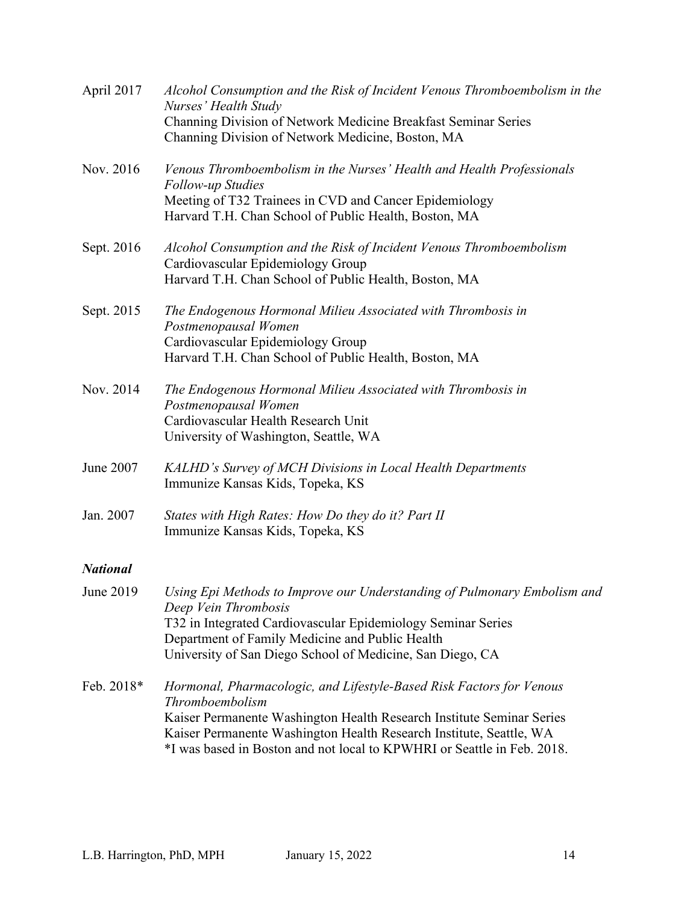| April 2017      | Alcohol Consumption and the Risk of Incident Venous Thromboembolism in the<br>Nurses' Health Study<br>Channing Division of Network Medicine Breakfast Seminar Series<br>Channing Division of Network Medicine, Boston, MA                                                                                          |
|-----------------|--------------------------------------------------------------------------------------------------------------------------------------------------------------------------------------------------------------------------------------------------------------------------------------------------------------------|
| Nov. 2016       | Venous Thromboembolism in the Nurses' Health and Health Professionals<br><b>Follow-up Studies</b><br>Meeting of T32 Trainees in CVD and Cancer Epidemiology<br>Harvard T.H. Chan School of Public Health, Boston, MA                                                                                               |
| Sept. 2016      | Alcohol Consumption and the Risk of Incident Venous Thromboembolism<br>Cardiovascular Epidemiology Group<br>Harvard T.H. Chan School of Public Health, Boston, MA                                                                                                                                                  |
| Sept. 2015      | The Endogenous Hormonal Milieu Associated with Thrombosis in<br>Postmenopausal Women<br>Cardiovascular Epidemiology Group<br>Harvard T.H. Chan School of Public Health, Boston, MA                                                                                                                                 |
| Nov. 2014       | The Endogenous Hormonal Milieu Associated with Thrombosis in<br>Postmenopausal Women<br>Cardiovascular Health Research Unit<br>University of Washington, Seattle, WA                                                                                                                                               |
| June 2007       | KALHD's Survey of MCH Divisions in Local Health Departments<br>Immunize Kansas Kids, Topeka, KS                                                                                                                                                                                                                    |
| Jan. 2007       | States with High Rates: How Do they do it? Part II<br>Immunize Kansas Kids, Topeka, KS                                                                                                                                                                                                                             |
| <b>National</b> |                                                                                                                                                                                                                                                                                                                    |
| June 2019       | Using Epi Methods to Improve our Understanding of Pulmonary Embolism and<br>Deep Vein Thrombosis<br>T32 in Integrated Cardiovascular Epidemiology Seminar Series<br>Department of Family Medicine and Public Health<br>University of San Diego School of Medicine, San Diego, CA                                   |
| Feb. 2018*      | Hormonal, Pharmacologic, and Lifestyle-Based Risk Factors for Venous<br>Thromboembolism<br>Kaiser Permanente Washington Health Research Institute Seminar Series<br>Kaiser Permanente Washington Health Research Institute, Seattle, WA<br>*I was based in Boston and not local to KPWHRI or Seattle in Feb. 2018. |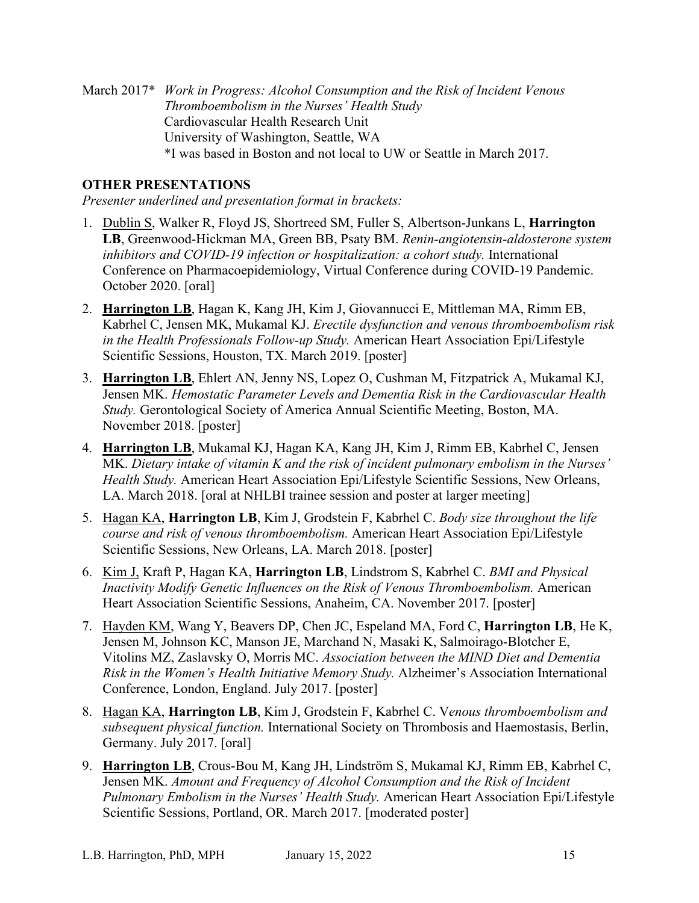March 2017\* *Work in Progress: Alcohol Consumption and the Risk of Incident Venous Thromboembolism in the Nurses' Health Study* Cardiovascular Health Research Unit University of Washington, Seattle, WA \*I was based in Boston and not local to UW or Seattle in March 2017.

# **OTHER PRESENTATIONS**

*Presenter underlined and presentation format in brackets:*

- 1. Dublin S, Walker R, Floyd JS, Shortreed SM, Fuller S, Albertson-Junkans L, **Harrington LB**, Greenwood-Hickman MA, Green BB, Psaty BM. *Renin-angiotensin-aldosterone system inhibitors and COVID-19 infection or hospitalization: a cohort study.* International Conference on Pharmacoepidemiology, Virtual Conference during COVID-19 Pandemic. October 2020. [oral]
- 2. **Harrington LB**, Hagan K, Kang JH, Kim J, Giovannucci E, Mittleman MA, Rimm EB, Kabrhel C, Jensen MK, Mukamal KJ. *Erectile dysfunction and venous thromboembolism risk in the Health Professionals Follow-up Study.* American Heart Association Epi/Lifestyle Scientific Sessions, Houston, TX. March 2019. [poster]
- 3. **Harrington LB**, Ehlert AN, Jenny NS, Lopez O, Cushman M, Fitzpatrick A, Mukamal KJ, Jensen MK. *Hemostatic Parameter Levels and Dementia Risk in the Cardiovascular Health Study.* Gerontological Society of America Annual Scientific Meeting, Boston, MA. November 2018. [poster]
- 4. **Harrington LB**, Mukamal KJ, Hagan KA, Kang JH, Kim J, Rimm EB, Kabrhel C, Jensen MK. *Dietary intake of vitamin K and the risk of incident pulmonary embolism in the Nurses' Health Study.* American Heart Association Epi/Lifestyle Scientific Sessions, New Orleans, LA. March 2018. [oral at NHLBI trainee session and poster at larger meeting]
- 5. Hagan KA, **Harrington LB**, Kim J, Grodstein F, Kabrhel C. *Body size throughout the life course and risk of venous thromboembolism.* American Heart Association Epi/Lifestyle Scientific Sessions, New Orleans, LA. March 2018. [poster]
- 6. Kim J, Kraft P, Hagan KA, **Harrington LB**, Lindstrom S, Kabrhel C. *BMI and Physical Inactivity Modify Genetic Influences on the Risk of Venous Thromboembolism.* American Heart Association Scientific Sessions, Anaheim, CA. November 2017. [poster]
- 7. Hayden KM, Wang Y, Beavers DP, Chen JC, Espeland MA, Ford C, **Harrington LB**, He K, Jensen M, Johnson KC, Manson JE, Marchand N, Masaki K, Salmoirago-Blotcher E, Vitolins MZ, Zaslavsky O, Morris MC. *Association between the MIND Diet and Dementia Risk in the Women's Health Initiative Memory Study.* Alzheimer's Association International Conference, London, England. July 2017. [poster]
- 8. Hagan KA, **Harrington LB**, Kim J, Grodstein F, Kabrhel C. V*enous thromboembolism and subsequent physical function.* International Society on Thrombosis and Haemostasis, Berlin, Germany. July 2017. [oral]
- 9. **Harrington LB**, Crous-Bou M, Kang JH, Lindström S, Mukamal KJ, Rimm EB, Kabrhel C, Jensen MK. *Amount and Frequency of Alcohol Consumption and the Risk of Incident Pulmonary Embolism in the Nurses' Health Study.* American Heart Association Epi/Lifestyle Scientific Sessions, Portland, OR. March 2017. [moderated poster]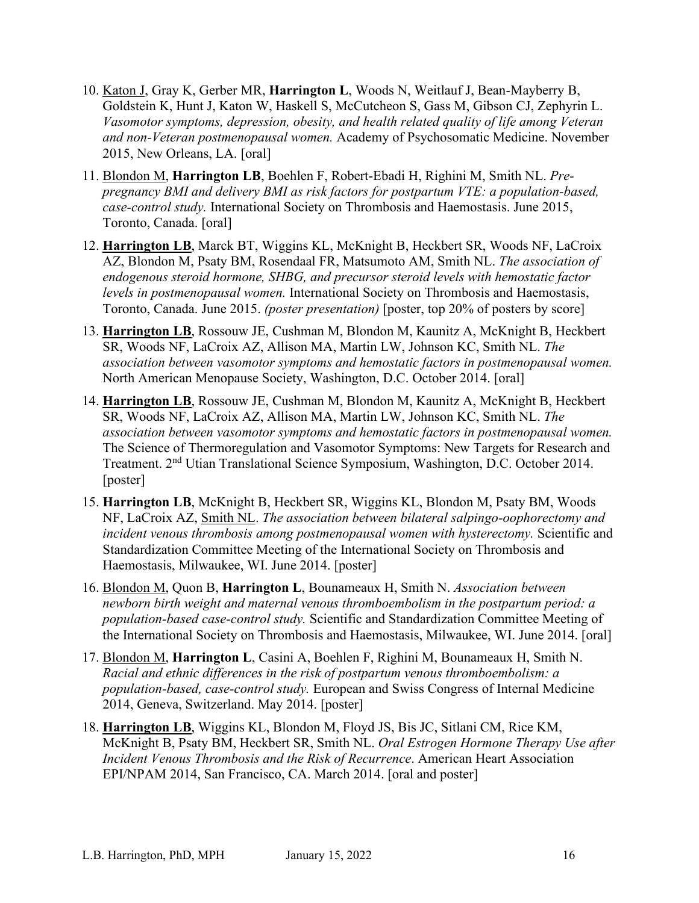- 10. Katon J, Gray K, Gerber MR, **Harrington L**, Woods N, Weitlauf J, Bean-Mayberry B, Goldstein K, Hunt J, Katon W, Haskell S, McCutcheon S, Gass M, Gibson CJ, Zephyrin L. *Vasomotor symptoms, depression, obesity, and health related quality of life among Veteran and non-Veteran postmenopausal women.* Academy of Psychosomatic Medicine. November 2015, New Orleans, LA. [oral]
- 11. Blondon M, **Harrington LB**, Boehlen F, Robert-Ebadi H, Righini M, Smith NL. *Prepregnancy BMI and delivery BMI as risk factors for postpartum VTE: a population-based, case-control study.* International Society on Thrombosis and Haemostasis. June 2015, Toronto, Canada. [oral]
- 12. **Harrington LB**, Marck BT, Wiggins KL, McKnight B, Heckbert SR, Woods NF, LaCroix AZ, Blondon M, Psaty BM, Rosendaal FR, Matsumoto AM, Smith NL. *The association of endogenous steroid hormone, SHBG, and precursor steroid levels with hemostatic factor levels in postmenopausal women.* International Society on Thrombosis and Haemostasis, Toronto, Canada. June 2015. *(poster presentation)* [poster, top 20% of posters by score]
- 13. **Harrington LB**, Rossouw JE, Cushman M, Blondon M, Kaunitz A, McKnight B, Heckbert SR, Woods NF, LaCroix AZ, Allison MA, Martin LW, Johnson KC, Smith NL. *The association between vasomotor symptoms and hemostatic factors in postmenopausal women.* North American Menopause Society, Washington, D.C. October 2014. [oral]
- 14. **Harrington LB**, Rossouw JE, Cushman M, Blondon M, Kaunitz A, McKnight B, Heckbert SR, Woods NF, LaCroix AZ, Allison MA, Martin LW, Johnson KC, Smith NL. *The association between vasomotor symptoms and hemostatic factors in postmenopausal women.* The Science of Thermoregulation and Vasomotor Symptoms: New Targets for Research and Treatment. 2nd Utian Translational Science Symposium, Washington, D.C. October 2014. [poster]
- 15. **Harrington LB**, McKnight B, Heckbert SR, Wiggins KL, Blondon M, Psaty BM, Woods NF, LaCroix AZ, Smith NL. *The association between bilateral salpingo-oophorectomy and incident venous thrombosis among postmenopausal women with hysterectomy.* Scientific and Standardization Committee Meeting of the International Society on Thrombosis and Haemostasis, Milwaukee, WI. June 2014. [poster]
- 16. Blondon M, Quon B, **Harrington L**, Bounameaux H, Smith N. *Association between newborn birth weight and maternal venous thromboembolism in the postpartum period: a population-based case-control study.* Scientific and Standardization Committee Meeting of the International Society on Thrombosis and Haemostasis, Milwaukee, WI. June 2014. [oral]
- 17. Blondon M, **Harrington L**, Casini A, Boehlen F, Righini M, Bounameaux H, Smith N. *Racial and ethnic differences in the risk of postpartum venous thromboembolism: a population-based, case-control study.* European and Swiss Congress of Internal Medicine 2014, Geneva, Switzerland. May 2014. [poster]
- 18. **Harrington LB**, Wiggins KL, Blondon M, Floyd JS, Bis JC, Sitlani CM, Rice KM, McKnight B, Psaty BM, Heckbert SR, Smith NL. *Oral Estrogen Hormone Therapy Use after Incident Venous Thrombosis and the Risk of Recurrence*. American Heart Association EPI/NPAM 2014, San Francisco, CA. March 2014. [oral and poster]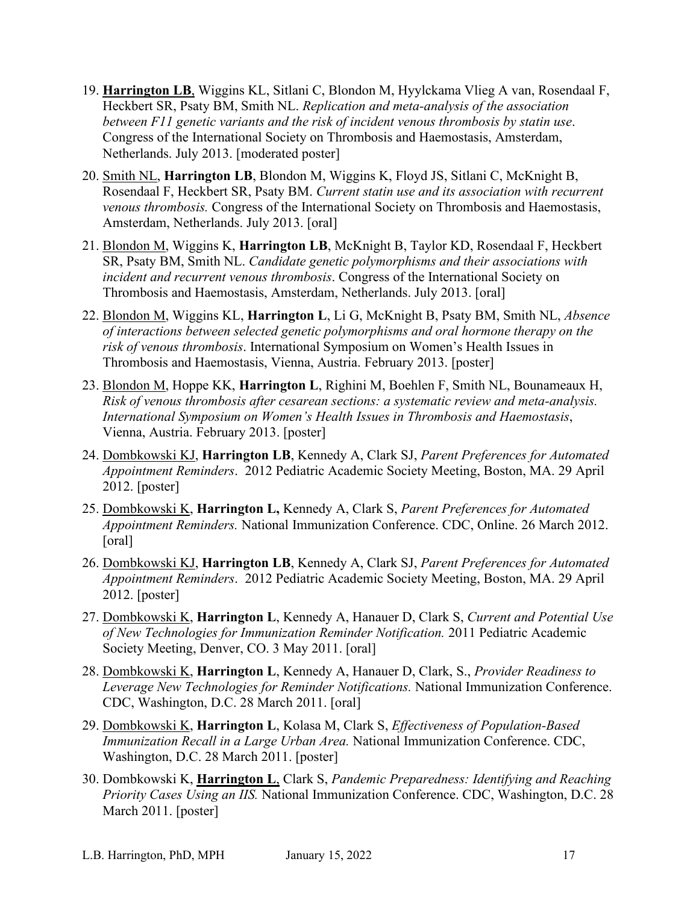- 19. **Harrington LB**, Wiggins KL, Sitlani C, Blondon M, Hyylckama Vlieg A van, Rosendaal F, Heckbert SR, Psaty BM, Smith NL. *Replication and meta-analysis of the association between F11 genetic variants and the risk of incident venous thrombosis by statin use*. Congress of the International Society on Thrombosis and Haemostasis, Amsterdam, Netherlands. July 2013. [moderated poster]
- 20. Smith NL, **Harrington LB**, Blondon M, Wiggins K, Floyd JS, Sitlani C, McKnight B, Rosendaal F, Heckbert SR, Psaty BM. *Current statin use and its association with recurrent venous thrombosis.* Congress of the International Society on Thrombosis and Haemostasis, Amsterdam, Netherlands. July 2013. [oral]
- 21. Blondon M, Wiggins K, **Harrington LB**, McKnight B, Taylor KD, Rosendaal F, Heckbert SR, Psaty BM, Smith NL. *Candidate genetic polymorphisms and their associations with incident and recurrent venous thrombosis*. Congress of the International Society on Thrombosis and Haemostasis, Amsterdam, Netherlands. July 2013. [oral]
- 22. Blondon M, Wiggins KL, **Harrington L**, Li G, McKnight B, Psaty BM, Smith NL, *Absence of interactions between selected genetic polymorphisms and oral hormone therapy on the risk of venous thrombosis*. International Symposium on Women's Health Issues in Thrombosis and Haemostasis, Vienna, Austria. February 2013. [poster]
- 23. Blondon M, Hoppe KK, **Harrington L**, Righini M, Boehlen F, Smith NL, Bounameaux H, *Risk of venous thrombosis after cesarean sections: a systematic review and meta-analysis. International Symposium on Women's Health Issues in Thrombosis and Haemostasis*, Vienna, Austria. February 2013. [poster]
- 24. Dombkowski KJ, **Harrington LB**, Kennedy A, Clark SJ, *Parent Preferences for Automated Appointment Reminders*. 2012 Pediatric Academic Society Meeting, Boston, MA. 29 April 2012. [poster]
- 25. Dombkowski K, **Harrington L,** Kennedy A, Clark S, *Parent Preferences for Automated Appointment Reminders.* National Immunization Conference. CDC, Online. 26 March 2012. [oral]
- 26. Dombkowski KJ, **Harrington LB**, Kennedy A, Clark SJ, *Parent Preferences for Automated Appointment Reminders*. 2012 Pediatric Academic Society Meeting, Boston, MA. 29 April 2012. [poster]
- 27. Dombkowski K, **Harrington L**, Kennedy A, Hanauer D, Clark S, *Current and Potential Use of New Technologies for Immunization Reminder Notification.* 2011 Pediatric Academic Society Meeting, Denver, CO. 3 May 2011. [oral]
- 28. Dombkowski K, **Harrington L**, Kennedy A, Hanauer D, Clark, S., *Provider Readiness to Leverage New Technologies for Reminder Notifications.* National Immunization Conference. CDC, Washington, D.C. 28 March 2011. [oral]
- 29. Dombkowski K, **Harrington L**, Kolasa M, Clark S, *Effectiveness of Population-Based Immunization Recall in a Large Urban Area.* National Immunization Conference. CDC, Washington, D.C. 28 March 2011. [poster]
- 30. Dombkowski K, **Harrington L**, Clark S, *Pandemic Preparedness: Identifying and Reaching Priority Cases Using an IIS.* National Immunization Conference. CDC, Washington, D.C. 28 March 2011. [poster]